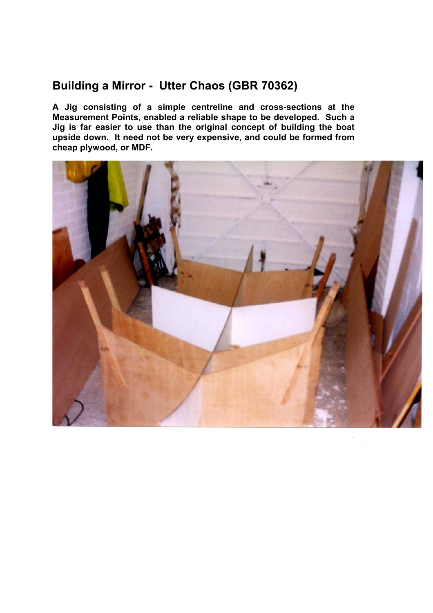## **Building a Mirror - Utter Chaos (GBR 70362)**

**A Jig consisting of a simple centreline and cross-sections at the Measurement Points, enabled a reliable shape to be developed. Such a Jig is far easier to use than the original concept of building the boat upside down. It need not be very expensive, and could be formed from cheap plywood, or MDF.** 

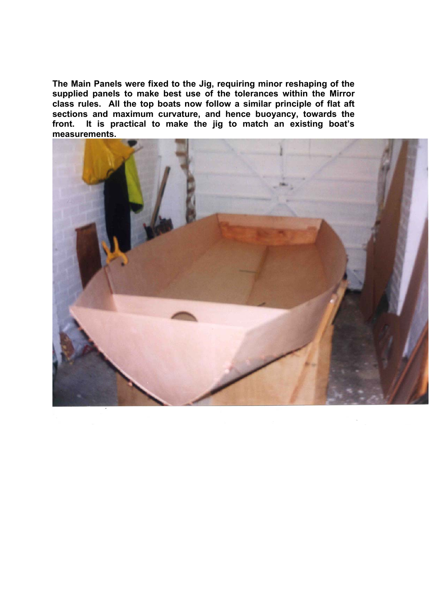**The Main Panels were fixed to the Jig, requiring minor reshaping of the supplied panels to make best use of the tolerances within the Mirror class rules. All the top boats now follow a similar principle of flat aft sections and maximum curvature, and hence buoyancy, towards the front. It is practical to make the jig to match an existing boat's measurements.** 

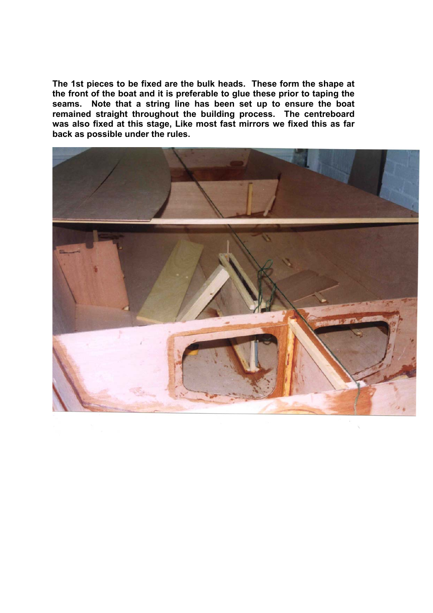**The 1st pieces to be fixed are the bulk heads. These form the shape at the front of the boat and it is preferable to glue these prior to taping the seams. Note that a string line has been set up to ensure the boat remained straight throughout the building process. The centreboard was also fixed at this stage, Like most fast mirrors we fixed this as far back as possible under the rules.** 

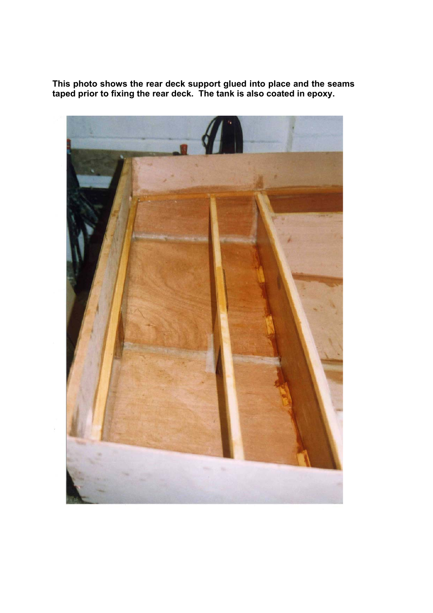**This photo shows the rear deck support glued into place and the seams taped prior to fixing the rear deck. The tank is also coated in epoxy.** 

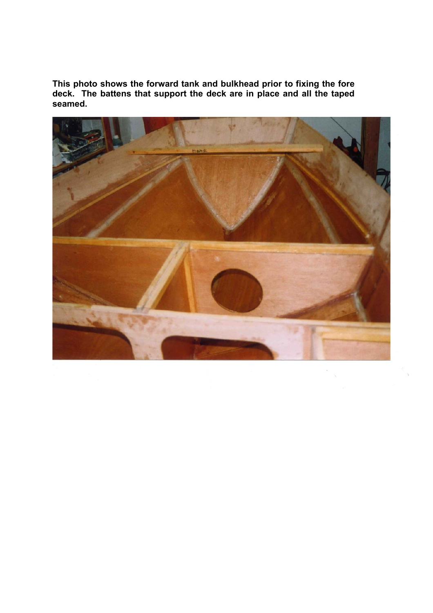**This photo shows the forward tank and bulkhead prior to fixing the fore deck. The battens that support the deck are in place and all the taped seamed.** 

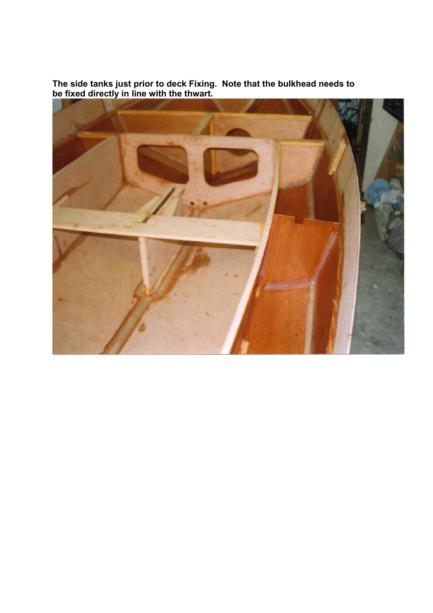**The side tanks just prior to deck Fixing. Note that the bulkhead needs to be fixed directly in line with the thwart.** 



í,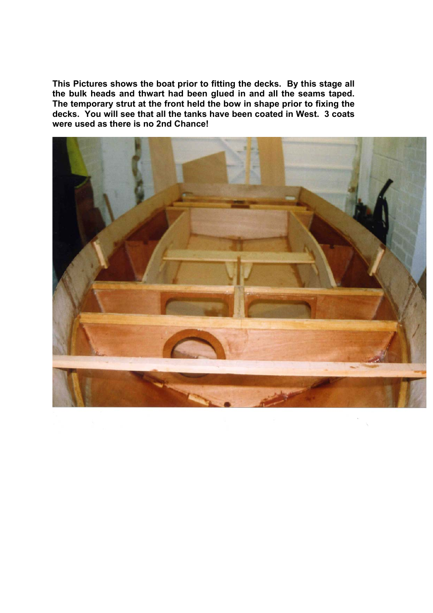**This Pictures shows the boat prior to fitting the decks. By this stage all the bulk heads and thwart had been glued in and all the seams taped. The temporary strut at the front held the bow in shape prior to fixing the decks. You will see that all the tanks have been coated in West. 3 coats were used as there is no 2nd Chance!** 

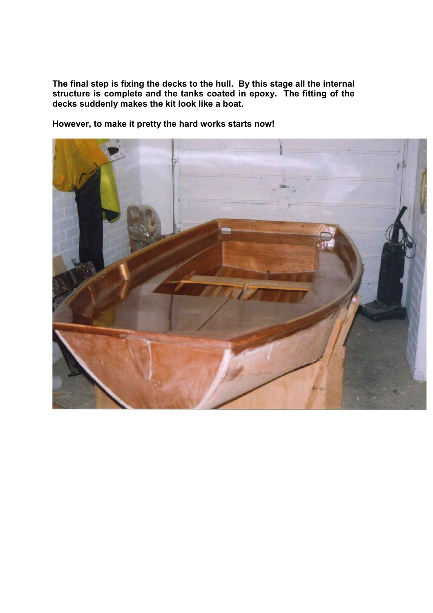**The final step is fixing the decks to the hull. By this stage all the internal structure is complete and the tanks coated in epoxy. The fitting of the decks suddenly makes the kit look like a boat.** 

**However, to make it pretty the hard works starts now!**